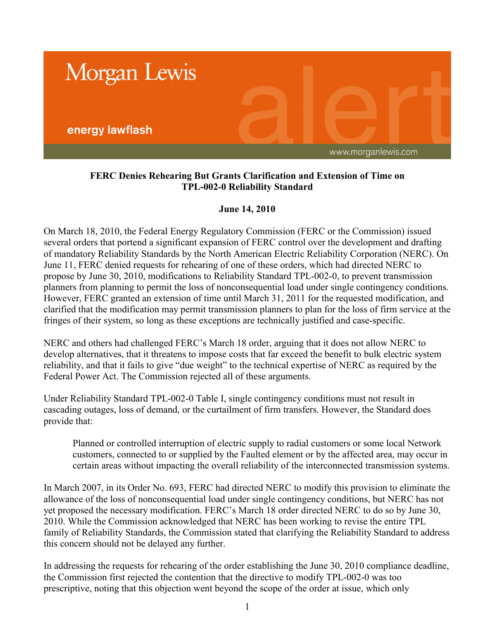

## **FERC Denies Rehearing But Grants Clarification and Extension of Time on TPL-002-0 Reliability Standard**

## **June 14, 2010**

On March 18, 2010, the Federal Energy Regulatory Commission (FERC or the Commission) issued several orders that portend a significant expansion of FERC control over the development and drafting of mandatory Reliability Standards by the North American Electric Reliability Corporation (NERC). On June 11, FERC denied requests for rehearing of one of these orders, which had directed NERC to propose by June 30, 2010, modifications to Reliability Standard TPL-002-0, to prevent transmission planners from planning to permit the loss of nonconsequential load under single contingency conditions. However, FERC granted an extension of time until March 31, 2011 for the requested modification, and clarified that the modification may permit transmission planners to plan for the loss of firm service at the fringes of their system, so long as these exceptions are technically justified and case-specific.

NERC and others had challenged FERC's March 18 order, arguing that it does not allow NERC to develop alternatives, that it threatens to impose costs that far exceed the benefit to bulk electric system reliability, and that it fails to give "due weight" to the technical expertise of NERC as required by the Federal Power Act. The Commission rejected all of these arguments.

Under Reliability Standard TPL-002-0 Table I, single contingency conditions must not result in cascading outages, loss of demand, or the curtailment of firm transfers. However, the Standard does provide that:

Planned or controlled interruption of electric supply to radial customers or some local Network customers, connected to or supplied by the Faulted element or by the affected area, may occur in certain areas without impacting the overall reliability of the interconnected transmission systems.

In March 2007, in its Order No. 693, FERC had directed NERC to modify this provision to eliminate the allowance of the loss of nonconsequential load under single contingency conditions, but NERC has not yet proposed the necessary modification. FERC's March 18 order directed NERC to do so by June 30, 2010. While the Commission acknowledged that NERC has been working to revise the entire TPL family of Reliability Standards, the Commission stated that clarifying the Reliability Standard to address this concern should not be delayed any further.

In addressing the requests for rehearing of the order establishing the June 30, 2010 compliance deadline, the Commission first rejected the contention that the directive to modify TPL-002-0 was too prescriptive, noting that this objection went beyond the scope of the order at issue, which only